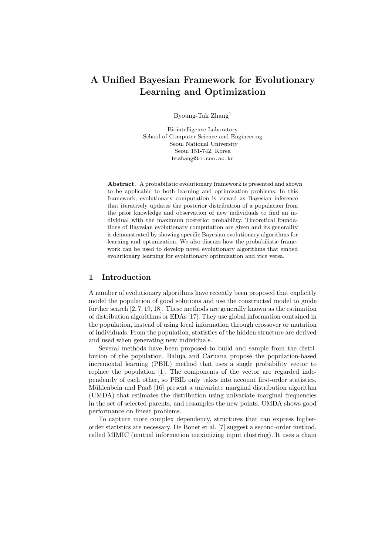# A Unified Bayesian Framework for Evolutionary Learning and Optimization

Byoung-Tak Zhang<sup>1</sup>

Biointelligence Laboratory School of Computer Science and Engineering Seoul National University Seoul 151-742, Korea btzhang@bi.snu.ac.kr

Abstract. A probabilistic evolutionary framework is presented and shown to be applicable to both learning and optimization problems. In this framework, evolutionary computation is viewed as Bayesian inference that iteratively updates the posterior distribution of a population from the prior knowledge and observation of new individuals to find an individual with the maximum posterior probability. Theoretical foundations of Bayesian evolutionary computation are given and its generality is demonstrated by showing specific Bayesian evolutionary algorithms for learning and optimization. We also discuss how the probabilistic framework can be used to develop novel evolutionary algorithms that embed evolutionary learning for evolutionary optimization and vice versa.

### 1 Introduction

A number of evolutionary algorithms have recently been proposed that explicitly model the population of good solutions and use the constructed model to guide further search [2, 7, 19, 18]. These methods are generally known as the estimation of distribution algorithms or EDAs [17]. They use global information contained in the population, instead of using local information through crossover or mutation of individuals. From the population, statistics of the hidden structure are derived and used when generating new individuals.

Several methods have been proposed to build and sample from the distribution of the population. Baluja and Caruana propose the population-based incremental learning (PBIL) method that uses a single probability vector to replace the population [1]. The components of the vector are regarded independently of each other, so PBIL only takes into account first-order statistics. Mühlenbein and Paaß [16] present a univariate marginal distribution algorithm (UMDA) that estimates the distribution using univariate marginal frequencies in the set of selected parents, and resamples the new points. UMDA shows good performance on linear problems.

To capture more complex dependency, structures that can express higherorder statistics are necessary. De Bonet et al. [7] suggest a second-order method, called MIMIC (mutual information maximizing input clustring). It uses a chain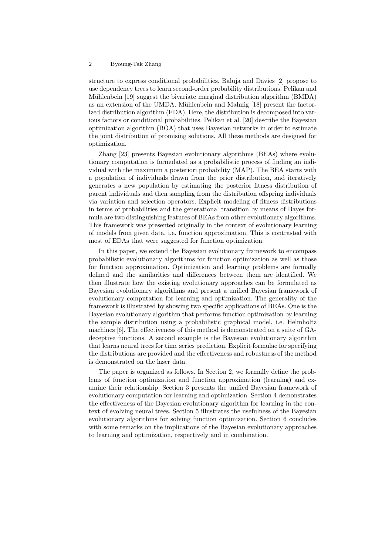structure to express conditional probabilities. Baluja and Davies [2] propose to use dependency trees to learn second-order probability distributions. Pelikan and Mühlenbein [19] suggest the bivariate marginal distribution algorithm (BMDA) as an extension of the UMDA. Mühlenbein and Mahnig [18] present the factorized distribution algorithm (FDA). Here, the distribution is decomposed into various factors or conditional probabilities. Pelikan et al. [20] describe the Bayesian optimization algorithm (BOA) that uses Bayesian networks in order to estimate the joint distribution of promising solutions. All these methods are designed for optimization.

Zhang [23] presents Bayesian evolutionary algorithms (BEAs) where evolutionary computation is formulated as a probabilistic process of finding an individual with the maximum a posteriori probability (MAP). The BEA starts with a population of individuals drawn from the prior distribution, and iteratively generates a new population by estimating the posterior fitness distribution of parent individuals and then sampling from the distribution offspring individuals via variation and selection operators. Explicit modeling of fitness distributions in terms of probabilities and the generational transition by means of Bayes formula are two distinguishing features of BEAs from other evolutionary algorithms. This framework was presented originally in the context of evolutionary learning of models from given data, i.e. function approximation. This is contrasted with most of EDAs that were suggested for function optimization.

In this paper, we extend the Bayesian evolutionary framework to encompass probabilistic evolutionary algorithms for function optimization as well as those for function approximation. Optimization and learning problems are formally defined and the similarities and differences between them are identified. We then illustrate how the existing evolutionary approaches can be formulated as Bayesian evolutionary algorithms and present a unified Bayesian framework of evolutionary computation for learning and optimization. The generality of the framework is illustrated by showing two specific applications of BEAs. One is the Bayesian evolutionary algorithm that performs function optimization by learning the sample distribution using a probabilistic graphical model, i.e. Helmholtz machines [6]. The effectiveness of this method is demonstrated on a suite of GAdeceptive functions. A second example is the Bayesian evolutionary algorithm that learns neural trees for time series prediction. Explicit formulae for specifying the distributions are provided and the effectiveness and robustness of the method is demonstrated on the laser data.

The paper is organized as follows. In Section 2, we formally define the problems of function optimization and function approximation (learning) and examine their relationship. Section 3 presents the unified Bayesian framework of evolutionary computation for learning and optimization. Section 4 demonstrates the effectiveness of the Bayesian evolutionary algorithm for learning in the context of evolving neural trees. Section 5 illustrates the usefulness of the Bayesian evolutionary algorithms for solving function optimization. Section 6 concludes with some remarks on the implications of the Bayesian evolutionary approaches to learning and optimization, respectively and in combination.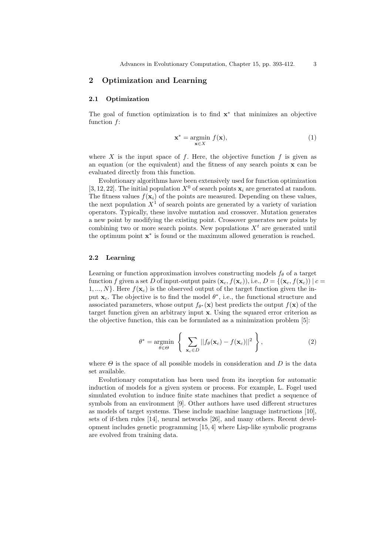# 2 Optimization and Learning

### 2.1 Optimization

The goal of function optimization is to find  $\mathbf{x}^*$  that minimizes an objective function f:

$$
\mathbf{x}^* = \underset{\mathbf{x} \in X}{\text{argmin}} \ f(\mathbf{x}),\tag{1}
$$

where X is the input space of f. Here, the objective function f is given as an equation (or the equivalent) and the fitness of any search points  $\bf{x}$  can be evaluated directly from this function.

Evolutionary algorithms have been extensively used for function optimization [3, 12, 22]. The initial population  $X^0$  of search points  $x_i$  are generated at random. The fitness values  $f(\mathbf{x}_i)$  of the points are measured. Depending on these values, the next population  $X<sup>1</sup>$  of search points are generated by a variety of variation operators. Typically, these involve mutation and crossover. Mutation generates a new point by modifying the existing point. Crossover generates new points by combining two or more search points. New populations  $X<sup>t</sup>$  are generated until the optimum point x ∗ is found or the maximum allowed generation is reached.

#### 2.2 Learning

Learning or function approximation involves constructing models  $f_{\theta}$  of a target function f given a set D of input-output pairs  $(\mathbf{x}_c, f(\mathbf{x}_c))$ , i.e.,  $D = \{(\mathbf{x}_c, f(\mathbf{x}_c)) | c =$  $1, ..., N$ . Here  $f(\mathbf{x}_c)$  is the observed output of the target function given the input  $\mathbf{x}_c$ . The objective is to find the model  $\theta^*$ , i.e., the functional structure and associated parameters, whose output  $f_{\theta^*}(\mathbf{x})$  best predicts the output  $f(\mathbf{x})$  of the target function given an arbitrary input x. Using the squared error criterion as the objective function, this can be formulated as a minimization problem [5]:

$$
\theta^* = \underset{\theta \in \Theta}{\text{argmin}} \left\{ \sum_{\mathbf{x}_c \in D} ||f_{\theta}(\mathbf{x}_c) - f(\mathbf{x}_c)||^2 \right\},\tag{2}
$$

where  $\Theta$  is the space of all possible models in consideration and  $D$  is the data set available.

Evolutionary computation has been used from its inception for automatic induction of models for a given system or process. For example, L. Fogel used simulated evolution to induce finite state machines that predict a sequence of symbols from an environment [9]. Other authors have used different structures as models of target systems. These include machine language instructions [10], sets of if-then rules [14], neural networks [26], and many others. Recent development includes genetic programming [15, 4] where Lisp-like symbolic programs are evolved from training data.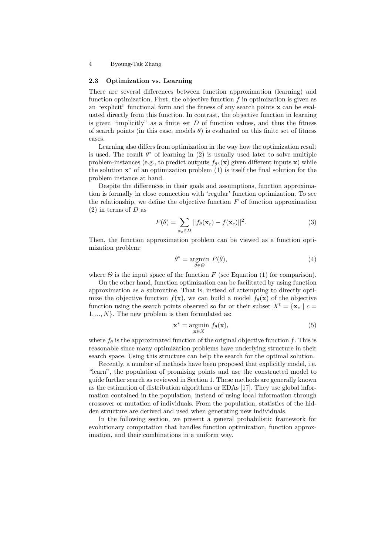#### 2.3 Optimization vs. Learning

There are several differences between function approximation (learning) and function optimization. First, the objective function  $f$  in optimization is given as an "explicit" functional form and the fitness of any search points  $x$  can be evaluated directly from this function. In contrast, the objective function in learning is given "implicitly" as a finite set  $D$  of function values, and thus the fitness of search points (in this case, models  $\theta$ ) is evaluated on this finite set of fitness cases.

Learning also differs from optimization in the way how the optimization result is used. The result  $\theta^*$  of learning in (2) is usually used later to solve multiple problem-instances (e.g., to predict outputs  $f_{\theta^*}(\mathbf{x})$  given different inputs  $\mathbf{x})$  while the solution  $\mathbf{x}^*$  of an optimization problem (1) is itself the final solution for the problem instance at hand.

Despite the differences in their goals and assumptions, function approximation is formally in close connection with 'regular' function optimization. To see the relationship, we define the objective function  $F$  of function approximation  $(2)$  in terms of D as

$$
F(\theta) = \sum_{\mathbf{x}_c \in D} ||f_\theta(\mathbf{x}_c) - f(\mathbf{x}_c)||^2.
$$
 (3)

Then, the function approximation problem can be viewed as a function optimization problem:

$$
\theta^* = \underset{\theta \in \Theta}{\operatorname{argmin}} \ F(\theta),\tag{4}
$$

where  $\Theta$  is the input space of the function F (see Equation (1) for comparison).

On the other hand, function optimization can be facilitated by using function approximation as a subroutine. That is, instead of attempting to directly optimize the objective function  $f(\mathbf{x})$ , we can build a model  $f_{\theta}(\mathbf{x})$  of the objective function using the search points observed so far or their subset  $X^t = \{x_c \mid c =$  $1, ..., N$ . The new problem is then formulated as:

$$
\mathbf{x}^* = \underset{\mathbf{x} \in X}{\operatorname{argmin}} \ f_\theta(\mathbf{x}),\tag{5}
$$

where  $f_{\theta}$  is the approximated function of the original objective function f. This is reasonable since many optimization problems have underlying structure in their search space. Using this structure can help the search for the optimal solution.

Recently, a number of methods have been proposed that explicitly model, i.e. "learn", the population of promising points and use the constructed model to guide further search as reviewed in Section 1. These methods are generally known as the estimation of distribution algorithms or EDAs [17]. They use global information contained in the population, instead of using local information through crossover or mutation of individuals. From the population, statistics of the hidden structure are derived and used when generating new individuals.

In the following section, we present a general probabilistic framework for evolutionary computation that handles function optimization, function approximation, and their combinations in a uniform way.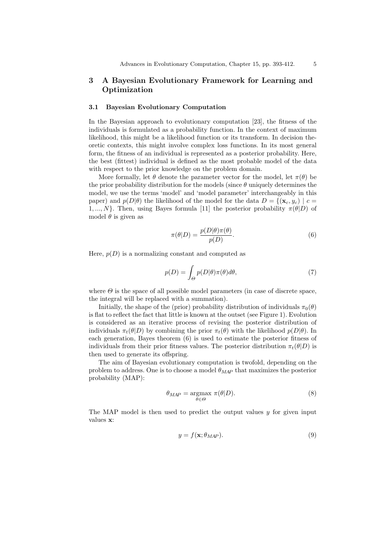# 3 A Bayesian Evolutionary Framework for Learning and Optimization

#### 3.1 Bayesian Evolutionary Computation

In the Bayesian approach to evolutionary computation [23], the fitness of the individuals is formulated as a probability function. In the context of maximum likelihood, this might be a likelihood function or its transform. In decision theoretic contexts, this might involve complex loss functions. In its most general form, the fitness of an individual is represented as a posterior probability. Here, the best (fittest) individual is defined as the most probable model of the data with respect to the prior knowledge on the problem domain.

More formally, let  $\theta$  denote the parameter vector for the model, let  $\pi(\theta)$  be the prior probability distribution for the models (since  $\theta$  uniquely determines the model, we use the terms 'model' and 'model parameter' interchangeably in this paper) and  $p(D|\theta)$  the likelihood of the model for the data  $D = \{(\mathbf{x}_c, y_c) | c =$ 1, ..., N}. Then, using Bayes formula [11] the posterior probability  $\pi(\theta|D)$  of model  $\theta$  is given as

$$
\pi(\theta|D) = \frac{p(D|\theta)\pi(\theta)}{p(D)}.
$$
\n(6)

Here,  $p(D)$  is a normalizing constant and computed as

$$
p(D) = \int_{\Theta} p(D|\theta)\pi(\theta)d\theta, \tag{7}
$$

where  $\Theta$  is the space of all possible model parameters (in case of discrete space, the integral will be replaced with a summation).

Initially, the shape of the (prior) probability distribution of individuals  $\pi_0(\theta)$ is flat to reflect the fact that little is known at the outset (see Figure 1). Evolution is considered as an iterative process of revising the posterior distribution of individuals  $\pi_t(\theta|D)$  by combining the prior  $\pi_t(\theta)$  with the likelihood  $p(D|\theta)$ . In each generation, Bayes theorem (6) is used to estimate the posterior fitness of individuals from their prior fitness values. The posterior distribution  $\pi_t(\theta|D)$  is then used to generate its offspring.

The aim of Bayesian evolutionary computation is twofold, depending on the problem to address. One is to choose a model  $\theta_{MAP}$  that maximizes the posterior probability (MAP):

$$
\theta_{MAP} = \underset{\theta \in \Theta}{\operatorname{argmax}} \ \pi(\theta | D). \tag{8}
$$

The MAP model is then used to predict the output values y for given input values x:

$$
y = f(\mathbf{x}; \theta_{MAP}). \tag{9}
$$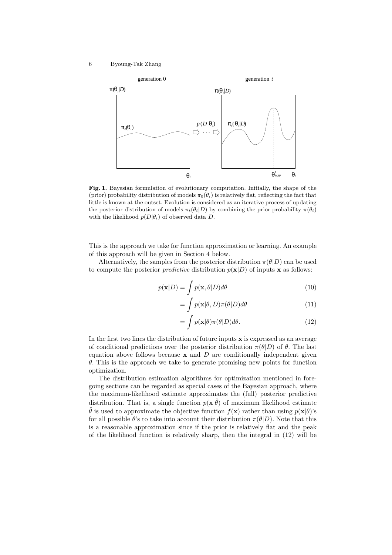

Fig. 1. Bayesian formulation of evolutionary computation. Initially, the shape of the (prior) probability distribution of models  $\pi_0(\theta_i)$  is relatively flat, reflecting the fact that little is known at the outset. Evolution is considered as an iterative process of updating the posterior distribution of models  $\pi_t(\theta_i|D)$  by combining the prior probability  $\pi(\theta_i)$ with the likelihood  $p(D|\theta_i)$  of observed data D.

This is the approach we take for function approximation or learning. An example of this approach will be given in Section 4 below.

Alternatively, the samples from the posterior distribution  $\pi(\theta|D)$  can be used to compute the posterior *predictive* distribution  $p(x|D)$  of inputs x as follows:

$$
p(\mathbf{x}|D) = \int p(\mathbf{x}, \theta|D) d\theta
$$
 (10)

$$
= \int_{c} p(\mathbf{x}|\theta, D)\pi(\theta|D)d\theta \tag{11}
$$

$$
= \int p(\mathbf{x}|\theta)\pi(\theta|D)d\theta.
$$
 (12)

In the first two lines the distribution of future inputs  $x$  is expressed as an average of conditional predictions over the posterior distribution  $\pi(\theta|D)$  of  $\theta$ . The last equation above follows because  $x$  and  $D$  are conditionally independent given  $\theta$ . This is the approach we take to generate promising new points for function optimization.

The distribution estimation algorithms for optimization mentioned in foregoing sections can be regarded as special cases of the Bayesian approach, where the maximum-likelihood estimate approximates the (full) posterior predictive distribution. That is, a single function  $p(\mathbf{x}|\hat{\theta})$  of maximum likelihood estimate  $\hat{\theta}$  is used to approximate the objective function  $f(\mathbf{x})$  rather than using  $p(\mathbf{x}|\theta)$ 's for all possible  $\theta$ 's to take into account their distribution  $\pi(\theta|D)$ . Note that this is a reasonable approximation since if the prior is relatively flat and the peak of the likelihood function is relatively sharp, then the integral in (12) will be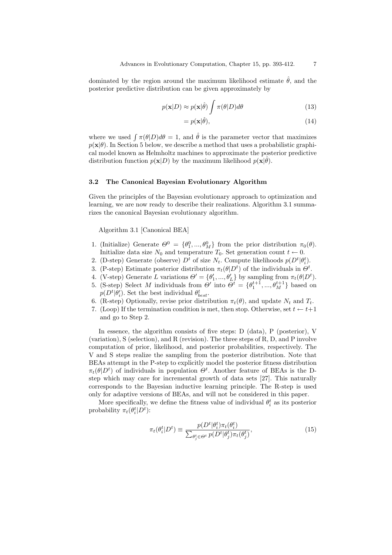dominated by the region around the maximum likelihood estimate  $\hat{\theta}$ , and the posterior predictive distribution can be given approximately by

$$
p(\mathbf{x}|D) \approx p(\mathbf{x}|\hat{\theta}) \int \pi(\theta|D)d\theta \tag{13}
$$

$$
=p(\mathbf{x}|\hat{\theta}),\tag{14}
$$

where we used  $\int \pi(\theta|D)d\theta = 1$ , and  $\hat{\theta}$  is the parameter vector that maximizes  $p(\mathbf{x}|\theta)$ . In Section 5 below, we describe a method that uses a probabilistic graphical model known as Helmholtz machines to approximate the posterior predictive distribution function  $p(\mathbf{x}|D)$  by the maximum likelihood  $p(\mathbf{x}|\hat{\theta})$ .

#### 3.2 The Canonical Bayesian Evolutionary Algorithm

Given the principles of the Bayesian evolutionary approach to optimization and learning, we are now ready to describe their realizations. Algorithm 3.1 summarizes the canonical Bayesian evolutionary algorithm.

Algorithm 3.1 [Canonical BEA]

- 1. (Initialize) Generate  $\Theta^0 = {\theta_1^0, ..., \theta_M^0}$  from the prior distribution  $\pi_0(\theta)$ . Initialize data size  $N_0$  and temperature  $T_0$ . Set generation count  $t \leftarrow 0$ .
- 2. (D-step) Generate (observe)  $D<sup>t</sup>$  of size  $N_t$ . Compute likelihoods  $p(D<sup>t</sup> | \theta<sub>i</sub><sup>t</sup>)$ .
- 3. (P-step) Estimate posterior distribution  $\pi_t(\theta|D^t)$  of the individuals in  $\Theta^t$ .
- 4. (V-step) Generate L variations  $\Theta' = {\theta'_1, ..., \theta'_L}$  by sampling from  $\pi_t(\theta|D^t)$ .
- 5. (S-step) Select M individuals from  $\Theta'$  into  $\tilde{\Theta}^t = {\theta_1^{t+1}, ..., \theta_M^{t+1}}$  based on  $p(D^t|\theta'_i)$ . Set the best individual  $\theta_{best}^t$ .
- 6. (R-step) Optionally, revise prior distribution  $\pi_t(\theta)$ , and update  $N_t$  and  $T_t$ .
- 7. (Loop) If the termination condition is met, then stop. Otherwise, set  $t \leftarrow t+1$ and go to Step 2.

In essence, the algorithm consists of five steps: D (data), P (posterior), V (variation), S (selection), and R (revision). The three steps of R, D, and P involve computation of prior, likelihood, and posterior probabilities, respectively. The V and S steps realize the sampling from the posterior distribution. Note that BEAs attempt in the P-step to explicitly model the posterior fitness distribution  $\pi_t(\theta|D^t)$  of individuals in population  $\Theta^t$ . Another feature of BEAs is the Dstep which may care for incremental growth of data sets [27]. This naturally corresponds to the Bayesian inductive learning principle. The R-step is used only for adaptive versions of BEAs, and will not be considered in this paper.

More specifically, we define the fitness value of individual  $\theta_i^t$  as its posterior probability  $\pi_t(\theta_i^t|D^t)$ :

$$
\pi_t(\theta_i^t | D^t) \equiv \frac{p(D^t | \theta_i^t) \pi_t(\theta_i^t)}{\sum_{\theta_j^t \in \Theta^t} p(D^t | \theta_j^t) \pi_t(\theta_j^t)},\tag{15}
$$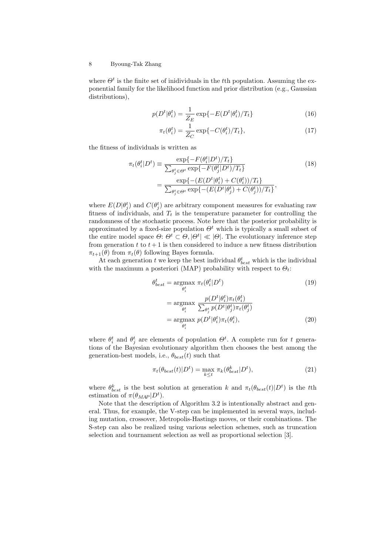where  $\Theta^t$  is the finite set of inidividuals in the t<sup>th</sup> population. Assuming the exponential family for the likelihood function and prior distribution (e.g., Gaussian distributions),

$$
p(D^t|\theta_i^t) = \frac{1}{Z_E} \exp\{-E(D^t|\theta_i^t)/T_t\}
$$
\n(16)

$$
\pi_t(\theta_i^t) = \frac{1}{Z_C} \exp\{-C(\theta_i^t)/T_t\},\tag{17}
$$

the fitness of individuals is written as

$$
\pi_t(\theta_i^t | D^t) \equiv \frac{\exp\{-F(\theta_i^t | D^t)/T_t\}}{\sum_{\theta_j^t \in \Theta^t} \exp\{-F(\theta_j^t | D^t)/T_t\}} \tag{18}
$$
\n
$$
= \frac{\exp\{-(E(D^t | \theta_i^t) + C(\theta_i^t))/T_t\}}{\sum_{\theta_j^t \in \Theta^t} \exp\{-(E(D^t | \theta_j^t) + C(\theta_j^t))/T_t\}},
$$

where  $E(D|\theta_j^t)$  and  $C(\theta_j^t)$  are arbitrary component measures for evaluating raw fitness of individuals, and  $T_t$  is the temperature parameter for controlling the randomness of the stochastic process. Note here that the posterior probability is approximated by a fixed-size population  $\Theta^t$  which is typically a small subset of the entire model space  $\Theta: \Theta^t \subset \Theta, |\Theta^t| \ll |\Theta|$ . The evolutionary inference step from generation t to  $t + 1$  is then considered to induce a new fitness distribution  $\pi_{t+1}(\theta)$  from  $\pi_t(\theta)$  following Bayes formula.

At each generation t we keep the best individual  $\theta_{best}^t$  which is the individual with the maximum a posteriori (MAP) probability with respect to  $\Theta_t$ :

$$
\theta_{best}^{t} = \underset{\theta_i^{t}}{\operatorname{argmax}} \pi_t(\theta_i^{t} | D^t) \tag{19}
$$
\n
$$
= \underset{\theta_i^{t}}{\operatorname{argmax}} \frac{p(D^t | \theta_i^{t}) \pi_t(\theta_i^{t})}{\sum_{\theta_j^{t}} p(D^t | \theta_j^{t}) \pi_t(\theta_j^{t})}
$$
\n
$$
= \underset{\theta_i^{t}}{\operatorname{argmax}} p(D^t | \theta_i^{t}) \pi_t(\theta_i^{t}), \tag{20}
$$

where  $\theta_i^t$  and  $\theta_j^t$  are elements of population  $\Theta^t$ . A complete run for t generations of the Bayesian evolutionary algorithm then chooses the best among the generation-best models, i.e.,  $\theta_{best}(t)$  such that

$$
\pi_t(\theta_{best}(t)|D^t) = \max_{k \le t} \pi_k(\theta_{best}^k|D^t), \tag{21}
$$

where  $\theta_{best}^k$  is the best solution at generation k and  $\pi_t(\theta_{best}(t)|D^t)$  is the tth estimation of  $\pi(\theta_{MAP} | D^t)$ .

Note that the description of Algorithm 3.2 is intentionally abstract and general. Thus, for example, the V-step can be implemented in several ways, including mutation, crossover, Metropolis-Hastings moves, or their combinations. The S-step can also be realized using various selection schemes, such as truncation selection and tournament selection as well as proportional selection [3].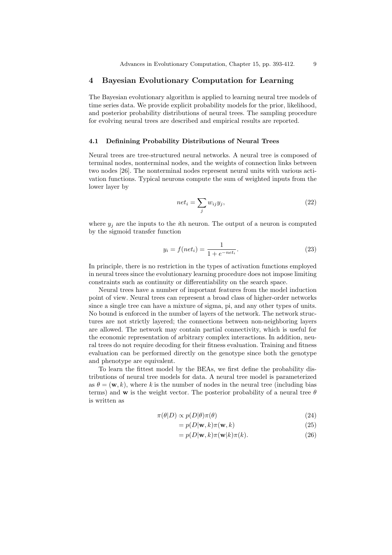# 4 Bayesian Evolutionary Computation for Learning

The Bayesian evolutionary algorithm is applied to learning neural tree models of time series data. We provide explicit probability models for the prior, likelihood, and posterior probability distributions of neural trees. The sampling procedure for evolving neural trees are described and empirical results are reported.

#### 4.1 Definining Probability Distributions of Neural Trees

Neural trees are tree-structured neural networks. A neural tree is composed of terminal nodes, nonterminal nodes, and the weights of connection links between two nodes [26]. The nonterminal nodes represent neural units with various activation functions. Typical neurons compute the sum of weighted inputs from the lower layer by

$$
net_i = \sum_j w_{ij} y_j,
$$
\n(22)

where  $y_j$  are the inputs to the *i*th neuron. The output of a neuron is computed by the sigmoid transfer function

$$
y_i = f(net_i) = \frac{1}{1 + e^{-net_i}}.
$$
\n(23)

In principle, there is no restriction in the types of activation functions employed in neural trees since the evolutionary learning procedure does not impose limiting constraints such as continuity or differentiability on the search space.

Neural trees have a number of important features from the model induction point of view. Neural trees can represent a broad class of higher-order networks since a single tree can have a mixture of sigma, pi, and any other types of units. No bound is enforced in the number of layers of the network. The network structures are not strictly layered; the connections between non-neighboring layers are allowed. The network may contain partial connectivity, which is useful for the economic representation of arbitrary complex interactions. In addition, neural trees do not require decoding for their fitness evaluation. Training and fitness evaluation can be performed directly on the genotype since both the genotype and phenotype are equivalent.

To learn the fittest model by the BEAs, we first define the probability distributions of neural tree models for data. A neural tree model is parameterized as  $\theta = (\mathbf{w}, k)$ , where k is the number of nodes in the neural tree (including bias terms) and **w** is the weight vector. The posterior probability of a neural tree  $\theta$ is written as

$$
\pi(\theta|D) \propto p(D|\theta)\pi(\theta) \tag{24}
$$

$$
= p(D|\mathbf{w}, k)\pi(\mathbf{w}, k)
$$
\n(25)

$$
= p(D|\mathbf{w}, k)\pi(\mathbf{w}|k)\pi(k).
$$
 (26)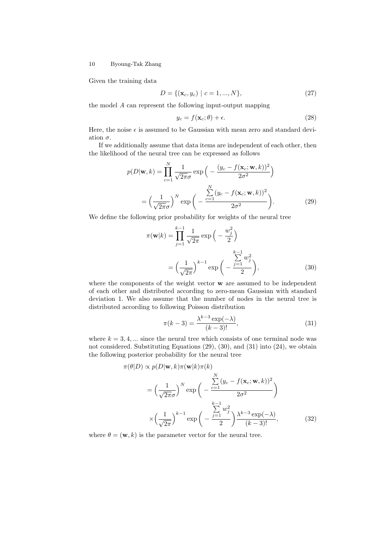Given the training data

$$
D = \{ (\mathbf{x}_c, y_c) \mid c = 1, ..., N \},
$$
\n(27)

the model A can represent the following input-output mapping

$$
y_c = f(\mathbf{x}_c; \theta) + \epsilon. \tag{28}
$$

Here, the noise  $\epsilon$  is assumed to be Gaussian with mean zero and standard deviation  $\sigma$ .

If we additionally assume that data items are independent of each other, then the likelihood of the neural tree can be expressed as follows

$$
p(D|\mathbf{w},k) = \prod_{c=1}^{N} \frac{1}{\sqrt{2\pi}\sigma} \exp\left(-\frac{(y_c - f(\mathbf{x}_c; \mathbf{w},k))^2}{2\sigma^2}\right)
$$

$$
= \left(\frac{1}{\sqrt{2\pi}\sigma}\right)^N \exp\left(-\frac{\sum_{c=1}^{N} (y_c - f(\mathbf{x}_c; \mathbf{w},k))^2}{2\sigma^2}\right).
$$
(29)

We define the following prior probability for weights of the neural tree

$$
\pi(\mathbf{w}|k) = \prod_{j=1}^{k-1} \frac{1}{\sqrt{2\pi}} \exp\left(-\frac{w_j^2}{2}\right)
$$

$$
= \left(\frac{1}{\sqrt{2\pi}}\right)^{k-1} \exp\left(-\frac{\sum_{j=1}^{k-1} w_j^2}{2}\right),\tag{30}
$$

where the components of the weight vector **w** are assumed to be independent of each other and distributed according to zero-mean Gaussian with standard deviation 1. We also assume that the number of nodes in the neural tree is distributed according to following Poisson distribution

$$
\pi(k-3) = \frac{\lambda^{k-3} \exp(-\lambda)}{(k-3)!},\tag{31}
$$

where  $k = 3, 4, \dots$  since the neural tree which consists of one terminal node was not considered. Substituting Equations (29), (30), and (31) into (24), we obtain the following posterior probability for the neural tree

$$
\pi(\theta|D) \propto p(D|\mathbf{w}, k)\pi(\mathbf{w}|k)\pi(k)
$$
\n
$$
= \left(\frac{1}{\sqrt{2\pi}\sigma}\right)^N \exp\left(-\frac{\sum_{c=1}^N (y_c - f(\mathbf{x}_c; \mathbf{w}, k))^2}{2\sigma^2}\right)
$$
\n
$$
\times \left(\frac{1}{\sqrt{2\pi}}\right)^{k-1} \exp\left(-\frac{\sum_{j=1}^{k-1} w_j^2}{2}\right) \frac{\lambda^{k-3} \exp(-\lambda)}{(k-3)!},
$$
\n(32)

where  $\theta = (\mathbf{w}, k)$  is the parameter vector for the neural tree.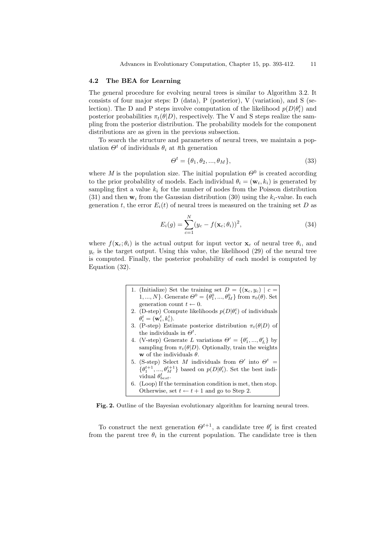#### 4.2 The BEA for Learning

The general procedure for evolving neural trees is similar to Algorithm 3.2. It consists of four major steps:  $D$  (data),  $P$  (posterior),  $V$  (variation), and  $S$  (selection). The D and P steps involve computation of the likelihood  $p(D|\theta_i^t)$  and posterior probabilities  $\pi_t(\theta|D)$ , respectively. The V and S steps realize the sampling from the posterior distribution. The probability models for the component distributions are as given in the previous subsection.

To search the structure and parameters of neural trees, we maintain a population  $\Theta^t$  of individuals  $\theta_i$  at the generation

$$
\Theta^t = \{\theta_1, \theta_2, ..., \theta_M\},\tag{33}
$$

where M is the population size. The initial population  $\Theta^0$  is created according to the prior probability of models. Each individual  $\theta_i = (\mathbf{w}_i, k_i)$  is generated by sampling first a value  $k_i$  for the number of nodes from the Poisson distribution (31) and then  $w_i$  from the Gaussian distribution (30) using the  $k_i$ -value. In each generation t, the error  $E_i(t)$  of neural trees is measured on the training set D as

$$
E_i(g) = \sum_{c=1}^{N} (y_c - f(\mathbf{x}_c; \theta_i))^2,
$$
\n(34)

where  $f(\mathbf{x}_c;\theta_i)$  is the actual output for input vector  $\mathbf{x}_c$  of neural tree  $\theta_i$ , and  $y_c$  is the target output. Using this value, the likelihood (29) of the neural tree is computed. Finally, the posterior probability of each model is computed by Equation (32).

- 1. (Initialize) Set the training set  $D = \{(\mathbf{x}_c, y_c) | c =$ 1, ..., N}. Generate  $\Theta^0 = {\theta_1^0, ..., \theta_M^0}$  from  $\pi_0(\theta)$ . Set generation count  $t \leftarrow 0$ .
- 2. (D-step) Compute likelihoods  $p(D|\theta_i^t)$  of individuals  $\theta_i^t = (\mathbf{w}_i^t, k_i^t).$
- 3. (P-step) Estimate posterior distribution  $\pi_t(\theta|D)$  of the individuals in  $\Theta^t$ .
- 4. (V-step) Generate L variations  $\Theta' = {\theta'_1, ..., \theta'_L}$  by sampling from  $\pi_t(\theta|D)$ . Optionally, train the weights w of the individuals  $\theta$ .
- 5. (S-step) Select M individuals from  $\Theta'$  into  $\Theta^t$  =  $\{\theta_1^{t+1}, ..., \theta_M^{t+1}\}$  based on  $p(D|\theta_i')$ . Set the best individual  $\theta_{best}^t$ .
- 6. (Loop) If the termination condition is met, then stop. Otherwise, set  $t \leftarrow t + 1$  and go to Step 2.

Fig. 2. Outline of the Bayesian evolutionary algorithm for learning neural trees.

To construct the next generation  $\Theta^{t+1}$ , a candidate tree  $\theta_i'$  is first created from the parent tree  $\theta_i$  in the current population. The candidate tree is then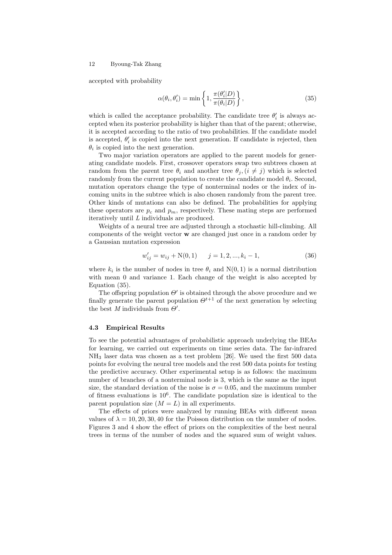accepted with probability

$$
\alpha(\theta_i, \theta'_i) = \min\left\{1, \frac{\pi(\theta'_i|D)}{\pi(\theta_i|D)}\right\},\tag{35}
$$

which is called the acceptance probability. The candidate tree  $\theta_i'$  is always accepted when its posterior probability is higher than that of the parent; otherwise, it is accepted according to the ratio of two probabilities. If the candidate model is accepted,  $\theta_i'$  is copied into the next generation. If candidate is rejected, then  $\theta_i$  is copied into the next generation.

Two major variation operators are applied to the parent models for generating candidate models. First, crossover operators swap two subtrees chosen at random from the parent tree  $\theta_i$  and another tree  $\theta_i$ ,  $(i \neq j)$  which is selected randomly from the current population to create the candidate model  $\theta_i$ . Second, mutation operators change the type of nonterminal nodes or the index of incoming units in the subtree which is also chosen randomly from the parent tree. Other kinds of mutations can also be defined. The probabilities for applying these operators are  $p_c$  and  $p_m$ , respectively. These mating steps are performed iteratively until L individuals are produced.

Weights of a neural tree are adjusted through a stochastic hill-climbing. All components of the weight vector w are changed just once in a random order by a Gaussian mutation expression

$$
w'_{ij} = w_{ij} + N(0, 1) \qquad j = 1, 2, ..., k_i - 1,
$$
\n(36)

where  $k_i$  is the number of nodes in tree  $\theta_i$  and  $N(0, 1)$  is a normal distribution with mean 0 and variance 1. Each change of the weight is also accepted by Equation (35).

The offspring population  $\Theta'$  is obtained through the above procedure and we finally generate the parent population  $\Theta^{t+1}$  of the next generation by selecting the best  $M$  individuals from  $\Theta'$ .

#### 4.3 Empirical Results

To see the potential advantages of probabilistic approach underlying the BEAs for learning, we carried out experiments on time series data. The far-infrared NH<sup>3</sup> laser data was chosen as a test problem [26]. We used the first 500 data points for evolving the neural tree models and the rest 500 data points for testing the predictive accuracy. Other experimental setup is as follows: the maximum number of branches of a nonterminal node is 3, which is the same as the input size, the standard deviation of the noise is  $\sigma = 0.05$ , and the maximum number of fitness evaluations is  $10^6$ . The candidate population size is identical to the parent population size  $(M = L)$  in all experiments.

The effects of priors were analyzed by running BEAs with different mean values of  $\lambda = 10, 20, 30, 40$  for the Poisson distribution on the number of nodes. Figures 3 and 4 show the effect of priors on the complexities of the best neural trees in terms of the number of nodes and the squared sum of weight values.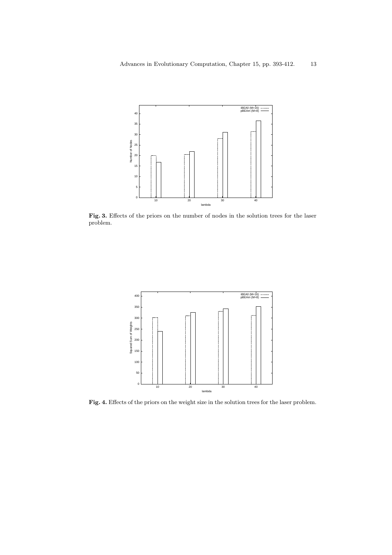

Fig. 3. Effects of the priors on the number of nodes in the solution trees for the laser problem.



Fig. 4. Effects of the priors on the weight size in the solution trees for the laser problem.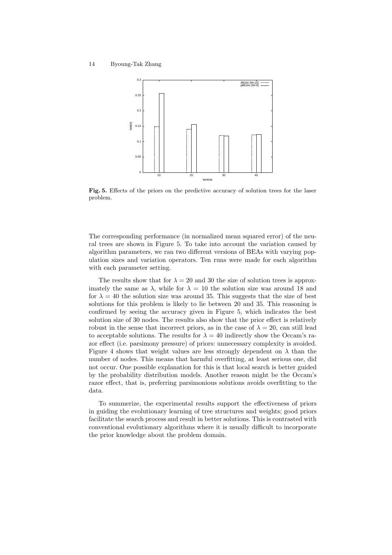

Fig. 5. Effects of the priors on the predictive accuracy of solution trees for the laser problem.

The corresponding performance (in normalized mean squared error) of the neural trees are shown in Figure 5. To take into account the variation caused by algorithm parameters, we ran two different versions of BEAs with varying population sizes and variation operators. Ten runs were made for each algorithm with each parameter setting.

The results show that for  $\lambda = 20$  and 30 the size of solution trees is approximately the same as  $\lambda$ , while for  $\lambda = 10$  the solution size was around 18 and for  $\lambda = 40$  the solution size was around 35. This suggests that the size of best solutions for this problem is likely to lie between 20 and 35. This reasoning is confirmed by seeing the accuracy given in Figure 5, which indicates the best solution size of 30 nodes. The results also show that the prior effect is relatively robust in the sense that incorrect priors, as in the case of  $\lambda = 20$ , can still lead to acceptable solutions. The results for  $\lambda = 40$  indirectly show the Occam's razor effect (i.e. parsimony pressure) of priors: unnecessary complexity is avoided. Figure 4 shows that weight values are less strongly dependent on  $\lambda$  than the number of nodes. This means that harmful overfitting, at least serious one, did not occur. One possible explanation for this is that local search is better guided by the probability distribution models. Another reason might be the Occam's razor effect, that is, preferring parsimonious solutions avoids overfitting to the data.

To summerize, the experimental results support the effectiveness of priors in guiding the evolutionary learning of tree structures and weights; good priors facilitate the search process and result in better solutions. This is contrasted with conventional evolutionary algorithms where it is usually difficult to incorporate the prior knowledge about the problem domain.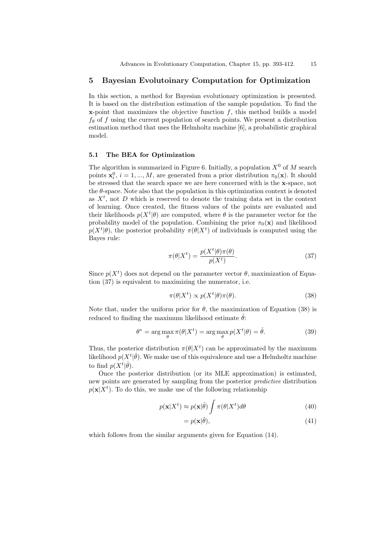# 5 Bayesian Evolutoinary Computation for Optimization

In this section, a method for Bayesian evolutionary optimization is presented. It is based on the distribution estimation of the sample population. To find the  $x$ -point that maximizes the objective function  $f$ , this method builds a model  $f_{\theta}$  of f using the current population of search points. We present a distribution estimation method that uses the Helmholtz machine [6], a probabilistic graphical model.

### 5.1 The BEA for Optimization

The algorithm is summarized in Figure 6. Initially, a population  $X^0$  of M search points  $\mathbf{x}_i^0$ ,  $i = 1, ..., M$ , are generated from a prior distribution  $\pi_0(\mathbf{x})$ . It should be stressed that the search space we are here concerned with is the x-space, not the  $\theta$ -space. Note also that the population in this optimization context is denoted as  $X<sup>t</sup>$ , not D which is reserved to denote the training data set in the context of learning. Once created, the fitness values of the points are evaluated and their likelihoods  $p(X^t|\theta)$  are computed, where  $\theta$  is the parameter vector for the probability model of the population. Combining the prior  $\pi_0(\mathbf{x})$  and likelihood  $p(X^t|\theta)$ , the posterior probability  $\pi(\theta|X^t)$  of individuals is computed using the Bayes rule:

$$
\pi(\theta|X^t) = \frac{p(X^t|\theta)\pi(\theta)}{p(X^t)}.
$$
\n(37)

Since  $p(X^t)$  does not depend on the parameter vector  $\theta$ , maximization of Equation (37) is equivalent to maximizing the numerator, i.e.

$$
\pi(\theta|X^t) \propto p(X^t|\theta)\pi(\theta). \tag{38}
$$

Note that, under the uniform prior for  $\theta$ , the maximization of Equation (38) is reduced to finding the maximum likelihood estimate  $\hat{\theta}$ :

$$
\theta^* = \arg\max_{\theta} \pi(\theta | X^t) = \arg\max_{\theta} p(X^t | \theta) = \hat{\theta}.
$$
 (39)

Thus, the posterior distribution  $\pi(\theta|X^t)$  can be approximated by the maximum likelihood  $p(X^t|\hat{\theta})$ . We make use of this equivalence and use a Helmholtz machine to find  $p(X^t|\hat{\theta})$ .

Once the posterior distribution (or its MLE approximation) is estimated, new points are generated by sampling from the posterior predictive distribution  $p(\mathbf{x}|X^t)$ . To do this, we make use of the following relationship

$$
p(\mathbf{x}|X^t) \approx p(\mathbf{x}|\hat{\theta}) \int \pi(\theta|X^t) d\theta \tag{40}
$$

$$
=p(\mathbf{x}|\hat{\theta}),\tag{41}
$$

which follows from the similar arguments given for Equation (14).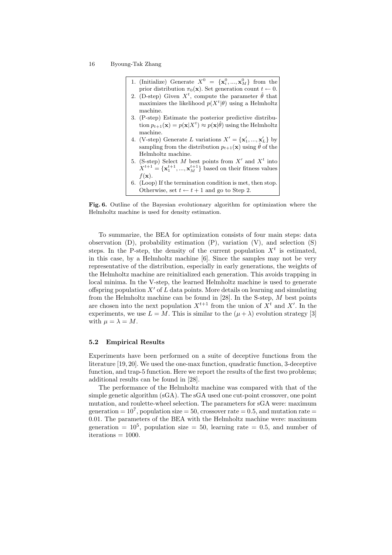| 1. (Initialize) Generate $X^0 = {\mathbf{x}_i^0, , \mathbf{x}_M^0}$ from the                          |  |
|-------------------------------------------------------------------------------------------------------|--|
| prior distribution $\pi_0(\mathbf{x})$ . Set generation count $t \leftarrow 0$ .                      |  |
| 2. (D-step) Given $X^t$ , compute the parameter $\hat{\theta}$ that                                   |  |
| maximizes the likelihood $p(X^t \theta)$ using a Helmholtz                                            |  |
| machine.                                                                                              |  |
| 3. (P-step) Estimate the posterior predictive distribu-                                               |  |
| tion $p_{t+1}(\mathbf{x}) = p(\mathbf{x} X^t) \approx p(\mathbf{x} \hat{\theta})$ using the Helmholtz |  |
| machine.                                                                                              |  |
| 4. (V-step) Generate L variations $X' = {\mathbf{x}'_1, , \mathbf{x}'_L}$ by                          |  |
| sampling from the distribution $p_{t+1}(\mathbf{x})$ using $\theta$ of the                            |  |
| Helmholtz machine.                                                                                    |  |
| 5. (S-step) Select M best points from $X'$ and $X^t$ into                                             |  |
| $X^{t+1} = {\mathbf{x}_1^{t+1}, , \mathbf{x}_M^{t+1}}$ based on their fitness values                  |  |
| $f(\mathbf{x})$ .                                                                                     |  |
| $6.$ (Loop) If the termination condition is met, then stop.                                           |  |
| Otherwise, set $t \leftarrow t + 1$ and go to Step 2.                                                 |  |

Fig. 6. Outline of the Bayesian evolutionary algorithm for optimization where the Helmholtz machine is used for density estimation.

To summarize, the BEA for optimization consists of four main steps: data observation  $(D)$ , probability estimation  $(P)$ , variation  $(V)$ , and selection  $(S)$ steps. In the P-step, the density of the current population  $X<sup>t</sup>$  is estimated, in this case, by a Helmholtz machine [6]. Since the samples may not be very representative of the distribution, especially in early generations, the weights of the Helmholtz machine are reinitialized each generation. This avoids trapping in local minima. In the V-step, the learned Helmholtz machine is used to generate offspring population  $X'$  of L data points. More details on learning and simulating from the Helmholtz machine can be found in [28]. In the S-step, M best points are chosen into the next population  $X^{t+1}$  from the union of  $X^t$  and  $X'$ . In the experiments, we use  $L = M$ . This is similar to the  $(\mu + \lambda)$  evolution strategy [3] with  $\mu = \lambda = M$ .

#### 5.2 Empirical Results

Experiments have been performed on a suite of deceptive functions from the literature [19, 20]. We used the one-max function, quadratic function, 3-deceptive function, and trap-5 function. Here we report the results of the first two problems; additional results can be found in [28].

The performance of the Helmholtz machine was compared with that of the simple genetic algorithm (sGA). The sGA used one cut-point crossover, one point mutation, and roulette-wheel selection. The parameters for sGA were: maximum generation  $= 10^7$ , population size  $= 50$ , crossover rate  $= 0.5$ , and mutation rate  $=$ 0.01. The parameters of the BEA with the Helmholtz machine were: maximum generation  $= 10^5$ , population size  $= 50$ , learning rate  $= 0.5$ , and number of  $iterations = 1000.$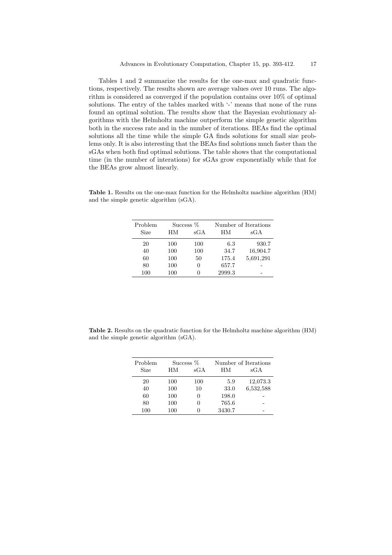Tables 1 and 2 summarize the results for the one-max and quadratic functions, respectively. The results shown are average values over 10 runs. The algorithm is considered as converged if the population contains over 10% of optimal solutions. The entry of the tables marked with '-' means that none of the runs found an optimal solution. The results show that the Bayesian evolutionary algorithms with the Helmholtz machine outperform the simple genetic algorithm both in the success rate and in the number of iterations. BEAs find the optimal solutions all the time while the simple GA finds solutions for small size problems only. It is also interesting that the BEAs find solutions much faster than the sGAs when both find optimal solutions. The table shows that the computational time (in the number of interations) for sGAs grow exponentially while that for the BEAs grow almost linearly.

Table 1. Results on the one-max function for the Helmholtz machine algorithm (HM) and the simple genetic algorithm (sGA).

| Problem     | Success % |     | Number of Iterations |           |
|-------------|-----------|-----|----------------------|-----------|
| <b>Size</b> | HМ        | sGA | HМ                   | sGA       |
| 20          | 100       | 100 | 6.3                  | 930.7     |
| 40          | 100       | 100 | 34.7                 | 16,904.7  |
| 60          | 100       | 50  | 175.4                | 5,691,291 |
| 80          | 100       |     | 657.7                |           |
| 100         | 100       |     | 2999.3               |           |

Table 2. Results on the quadratic function for the Helmholtz machine algorithm (HM) and the simple genetic algorithm (sGA).

| Problem     | Success % |              | Number of Iterations |           |
|-------------|-----------|--------------|----------------------|-----------|
| <b>Size</b> | HМ        | $_{\rm sGA}$ | HМ                   | sGA       |
| 20          | 100       | 100          | 5.9                  | 12,073.3  |
| 40          | 100       | 10           | 33.0                 | 6,532,588 |
| 60          | 100       | $\mathbf{0}$ | 198.0                |           |
| 80          | 100       | 0            | 765.6                |           |
| 100         | 100       |              | 3430.7               |           |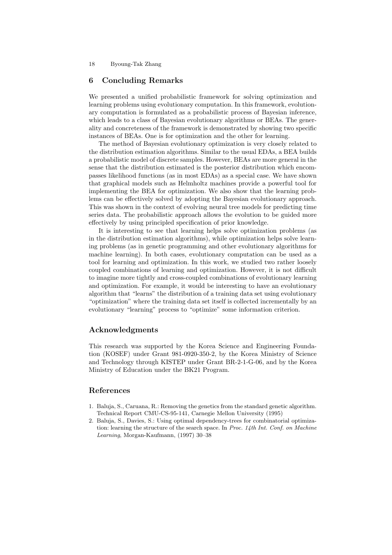# 6 Concluding Remarks

We presented a unified probabilistic framework for solving optimization and learning problems using evolutionary computation. In this framework, evolutionary computation is formulated as a probabilistic process of Bayesian inference, which leads to a class of Bayesian evolutionary algorithms or BEAs. The generality and concreteness of the framework is demonstrated by showing two specific instances of BEAs. One is for optimization and the other for learning.

The method of Bayesian evolutionary optimization is very closely related to the distribution estimation algorithms. Similar to the usual EDAs, a BEA builds a probabilistic model of discrete samples. However, BEAs are more general in the sense that the distribution estimated is the posterior distribution which encompasses likelihood functions (as in most EDAs) as a special case. We have shown that graphical models such as Helmholtz machines provide a powerful tool for implementing the BEA for optimization. We also show that the learning problems can be effectively solved by adopting the Bayesian evolutionary approach. This was shown in the context of evolving neural tree models for predicting time series data. The probabilistic approach allows the evolution to be guided more effectively by using principled specification of prior knowledge.

It is interesting to see that learning helps solve optimization problems (as in the distribution estimation algorithms), while optimization helps solve learning problems (as in genetic programming and other evolutionary algorithms for machine learning). In both cases, evolutionary computation can be used as a tool for learning and optimization. In this work, we studied two rather loosely coupled combinations of learning and optimization. However, it is not difficult to imagine more tightly and cross-coupled combinations of evolutionary learning and optimization. For example, it would be interesting to have an evolutionary algorithm that "learns" the distribution of a training data set using evolutionary "optimization" where the training data set itself is collected incrementally by an evolutionary "learning" process to "optimize" some information criterion.

# Acknowledgments

This research was supported by the Korea Science and Engineering Foundation (KOSEF) under Grant 981-0920-350-2, by the Korea Ministry of Science and Technology through KISTEP under Grant BR-2-1-G-06, and by the Korea Ministry of Education under the BK21 Program.

# References

- 1. Baluja, S., Caruana, R.: Removing the genetics from the standard genetic algorithm. Technical Report CMU-CS-95-141, Carnegie Mellon University (1995)
- 2. Baluja, S., Davies, S.: Using optimal dependency-trees for combinatorial optimization: learning the structure of the search space. In Proc. 14th Int. Conf. on Machine Learning, Morgan-Kaufmann, (1997) 30–38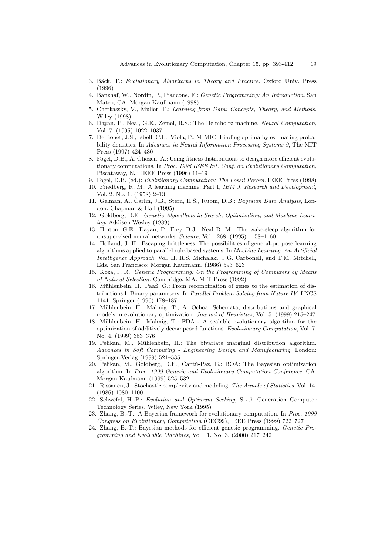- 3. Bäck, T.: Evolutionary Algorithms in Theory and Practice. Oxford Univ. Press (1996)
- 4. Banzhaf, W., Nordin, P., Francone, F.: Genetic Programming: An Introduction. San Mateo, CA: Morgan Kaufmann (1998)
- 5. Cherkassky, V., Mulier, F.: Learning from Data: Concepts, Theory, and Methods. Wiley (1998)
- 6. Dayan, P., Neal, G.E., Zemel, R.S.: The Helmholtz machine. Neural Computation, Vol. 7. (1995) 1022–1037
- 7. De Bonet, J.S., Isbell, C.L., Viola, P.: MIMIC: Finding optima by estimating probability densities. In Advances in Neural Information Processing Systems 9, The MIT Press (1997) 424–430
- 8. Fogel, D.B., A. Ghozeil, A.: Using fitness distributions to design more efficient evolutionary computations. In Proc. 1996 IEEE Int. Conf. on Evolutionary Computation, Piscataway, NJ: IEEE Press (1996) 11–19
- 9. Fogel, D.B. (ed.): Evolutionary Computation: The Fossil Record. IEEE Press (1998)
- 10. Friedberg, R. M.: A learning machine: Part I, IBM J. Research and Development, Vol. 2. No. 1. (1958) 2–13
- 11. Gelman, A., Carlin, J.B., Stern, H.S., Rubin, D.B.: Bayesian Data Analysis, London: Chapman & Hall (1995)
- 12. Goldberg, D.E.: Genetic Algorithms in Search, Optimization, and Machine Learning. Addison-Wesley (1989)
- 13. Hinton, G.E., Dayan, P., Frey, B.J., Neal R. M.: The wake-sleep algorithm for unsupervised neural networks. Science, Vol. 268. (1995) 1158–1160
- 14. Holland, J. H.: Escaping brittleness: The possibilities of general-purpose learning algorithms applied to parallel rule-based systems. In Machine Learning: An Artificial Intelligence Approach, Vol. II, R.S. Michalski, J.G. Carbonell, and T.M. Mitchell, Eds. San Francisco: Morgan Kaufmann, (1986) 593–623
- 15. Koza, J. R.: Genetic Programming: On the Programming of Computers by Means of Natural Selection. Cambridge, MA: MIT Press (1992)
- 16. Mühlenbein, H., Paaß, G.: From recombination of genes to the estimation of distributions I: Binary parameters. In Parallel Problem Solving from Nature IV, LNCS 1141, Springer (1996) 178–187
- 17. Mühlenbein, H., Mahnig, T., A. Ochoa: Schemata, distributions and graphical models in evolutionary optimization. *Journal of Heuristics*, Vol. 5. (1999) 215–247
- 18. Mühlenbein, H., Mahnig, T.: FDA A scalable evolutionary algorithm for the optimization of additively decomposed functions. Evolutionary Computation, Vol. 7. No. 4. (1999) 353–376
- 19. Pelikan, M., Mühlenbein, H.: The bivariate marginal distribution algorithm. Advances in Soft Computing - Engineering Design and Manufacturing, London: Springer-Verlag (1999) 521–535
- 20. Pelikan, M., Goldberg, D.E., Cantú-Paz, E.: BOA: The Bayesian optimization algorithm. In Proc. 1999 Genetic and Evolutionary Computation Conference, CA: Morgan Kaufmann (1999) 525–532
- 21. Rissanen, J.: Stochastic complexity and modeling. The Annals of Statistics, Vol. 14. (1986) 1080–1100.
- 22. Schwefel, H.-P.: Evolution and Optimum Seeking, Sixth Generation Computer Technology Series, Wiley, New York (1995)
- 23. Zhang, B.-T.: A Bayesian framework for evolutionary computation. In Proc. 1999 Congress on Evolutionary Computation (CEC99), IEEE Press (1999) 722–727
- 24. Zhang, B.-T.: Bayesian methods for efficient genetic programming. Genetic Programming and Evolvable Machines, Vol. 1. No. 3. (2000) 217–242